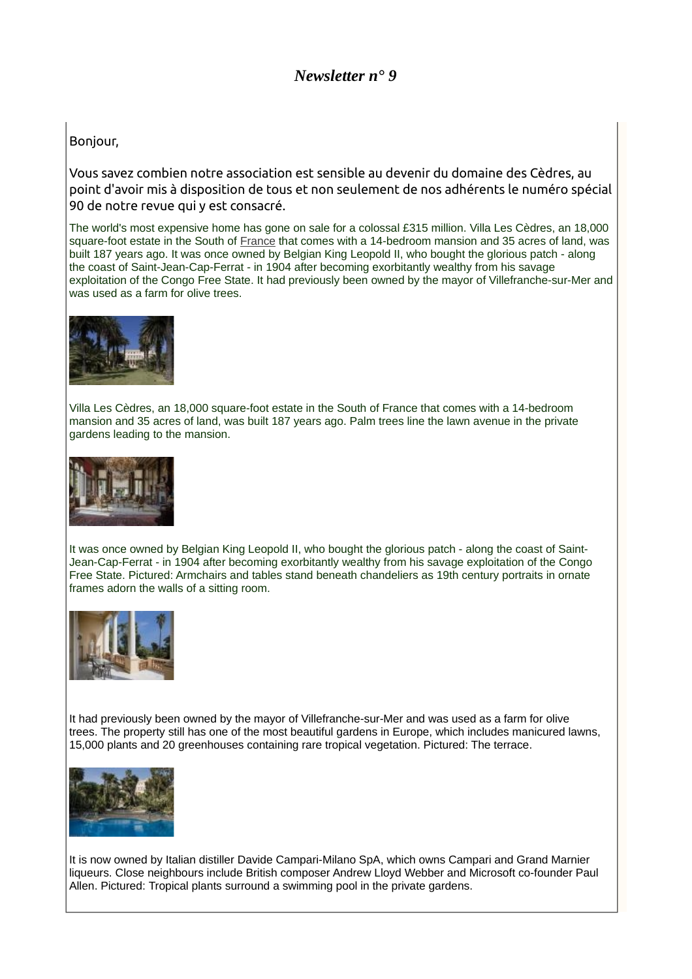## *Newsletter n° 9*

## Bonjour,

Vous savez combien notre association est sensible au devenir du domaine des Cèdres, au point d'avoir mis à disposition de tous et non seulement de nos adhérents le numéro spécial 90 de notre revue qui y est consacré.

The world's most expensive home has gone on sale for a colossal £315 million. Villa Les Cèdres, an 18,000 square-foot estate in the South of [France](http://www.dailymail.co.uk/news/france/index.html) that comes with a 14-bedroom mansion and 35 acres of land, was built 187 years ago. It was once owned by Belgian King Leopold II, who bought the glorious patch - along the coast of Saint-Jean-Cap-Ferrat - in 1904 after becoming exorbitantly wealthy from his savage exploitation of the Congo Free State. It had previously been owned by the mayor of Villefranche-sur-Mer and was used as a farm for olive trees.



Villa Les Cèdres, an 18,000 square-foot estate in the South of France that comes with a 14-bedroom mansion and 35 acres of land, was built 187 years ago. Palm trees line the lawn avenue in the private gardens leading to the mansion.



It was once owned by Belgian King Leopold II, who bought the glorious patch - along the coast of Saint-Jean-Cap-Ferrat - in 1904 after becoming exorbitantly wealthy from his savage exploitation of the Congo Free State. Pictured: Armchairs and tables stand beneath chandeliers as 19th century portraits in ornate frames adorn the walls of a sitting room.



It had previously been owned by the mayor of Villefranche-sur-Mer and was used as a farm for olive trees. The property still has one of the most beautiful gardens in Europe, which includes manicured lawns, 15,000 plants and 20 greenhouses containing rare tropical vegetation. Pictured: The terrace.



It is now owned by Italian distiller Davide Campari-Milano SpA, which owns Campari and Grand Marnier liqueurs. Close neighbours include British composer Andrew Lloyd Webber and Microsoft co-founder Paul Allen. Pictured: Tropical plants surround a swimming pool in the private gardens.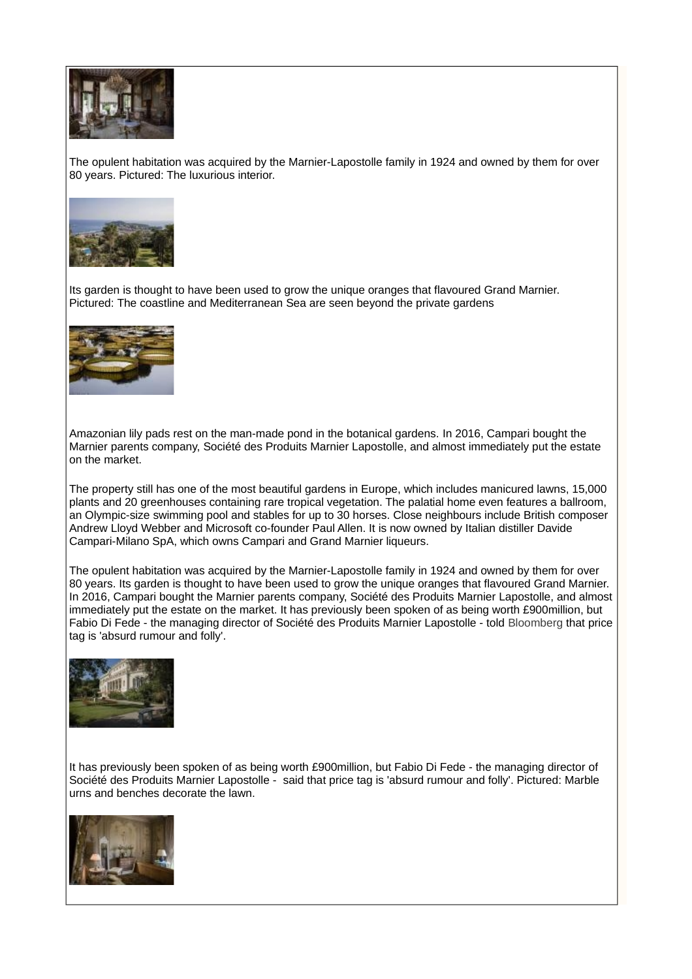

The opulent habitation was acquired by the Marnier-Lapostolle family in 1924 and owned by them for over 80 years. Pictured: The luxurious interior.



Its garden is thought to have been used to grow the unique oranges that flavoured Grand Marnier. Pictured: The coastline and Mediterranean Sea are seen beyond the private gardens



Amazonian lily pads rest on the man-made pond in the botanical gardens. In 2016, Campari bought the Marnier parents company, Société des Produits Marnier Lapostolle, and almost immediately put the estate on the market.

The property still has one of the most beautiful gardens in Europe, which includes manicured lawns, 15,000 plants and 20 greenhouses containing rare tropical vegetation. The palatial home even features a ballroom, an Olympic-size swimming pool and stables for up to 30 horses. Close neighbours include British composer Andrew Lloyd Webber and Microsoft co-founder Paul Allen. It is now owned by Italian distiller Davide Campari-Milano SpA, which owns Campari and Grand Marnier liqueurs.

The opulent habitation was acquired by the Marnier-Lapostolle family in 1924 and owned by them for over 80 years. Its garden is thought to have been used to grow the unique oranges that flavoured Grand Marnier. In 2016, Campari bought the Marnier parents company, Société des Produits Marnier Lapostolle, and almost immediately put the estate on the market. It has previously been spoken of as being worth £900million, but Fabio Di Fede - the managing director of Société des Produits Marnier Lapostolle - told [Bloomberg t](https://www.bloomberg.com/news/features/2017-10-12/look-inside-villa-les-cedres-the-most-expensive-house-for-sale-now)hat price tag is 'absurd rumour and folly'.



It has previously been spoken of as being worth £900million, but Fabio Di Fede - the managing director of Société des Produits Marnier Lapostolle - said that price tag is 'absurd rumour and folly'. Pictured: Marble urns and benches decorate the lawn.